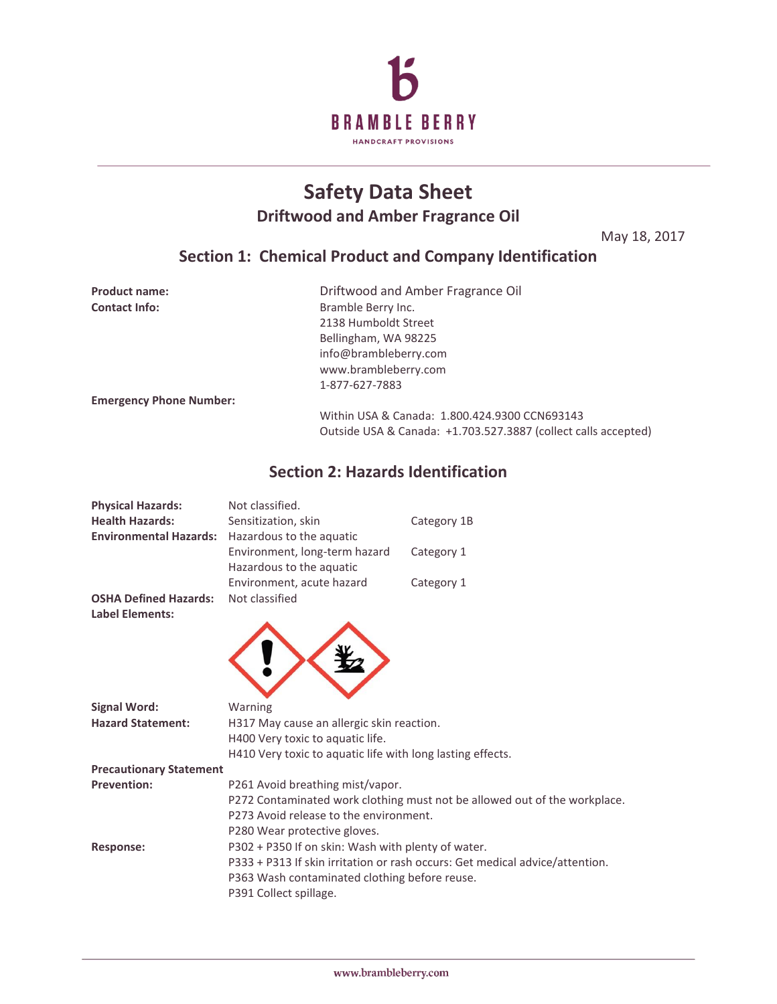

# **Safety Data Sheet Driftwood and Amber Fragrance Oil**

May 18, 2017

## **Section 1: Chemical Product and Company Identification**

| <b>Product name:</b>           | Driftwood and Amber Fragrance Oil                              |
|--------------------------------|----------------------------------------------------------------|
| <b>Contact Info:</b>           | Bramble Berry Inc.                                             |
|                                | 2138 Humboldt Street                                           |
|                                | Bellingham, WA 98225                                           |
|                                | info@brambleberry.com                                          |
|                                | www.brambleberry.com                                           |
|                                | 1-877-627-7883                                                 |
| <b>Emergency Phone Number:</b> |                                                                |
|                                | Within USA & Canada: 1.800.424.9300 CCN693143                  |
|                                | Outside USA & Canada: +1.703.527.3887 (collect calls accepted) |

## **Section 2: Hazards Identification**

| <b>Physical Hazards:</b>                               | Not classified.                                                           |                                                                              |  |
|--------------------------------------------------------|---------------------------------------------------------------------------|------------------------------------------------------------------------------|--|
| <b>Health Hazards:</b>                                 | Sensitization, skin                                                       | Category 1B                                                                  |  |
| <b>Environmental Hazards:</b>                          | Hazardous to the aquatic                                                  |                                                                              |  |
|                                                        | Environment, long-term hazard                                             | Category 1                                                                   |  |
|                                                        | Hazardous to the aquatic                                                  |                                                                              |  |
|                                                        | Environment, acute hazard                                                 | Category 1                                                                   |  |
| <b>OSHA Defined Hazards:</b><br><b>Label Elements:</b> | Not classified                                                            |                                                                              |  |
|                                                        |                                                                           |                                                                              |  |
| <b>Signal Word:</b>                                    | Warning                                                                   |                                                                              |  |
| <b>Hazard Statement:</b>                               | H317 May cause an allergic skin reaction.                                 |                                                                              |  |
|                                                        | H400 Very toxic to aquatic life.                                          |                                                                              |  |
|                                                        | H410 Very toxic to aquatic life with long lasting effects.                |                                                                              |  |
| <b>Precautionary Statement</b>                         |                                                                           |                                                                              |  |
| <b>Prevention:</b>                                     | P261 Avoid breathing mist/vapor.                                          |                                                                              |  |
|                                                        | P272 Contaminated work clothing must not be allowed out of the workplace. |                                                                              |  |
|                                                        | P273 Avoid release to the environment.                                    |                                                                              |  |
|                                                        | P280 Wear protective gloves.                                              |                                                                              |  |
| <b>Response:</b>                                       | P302 + P350 If on skin: Wash with plenty of water.                        |                                                                              |  |
|                                                        |                                                                           | P333 + P313 If skin irritation or rash occurs: Get medical advice/attention. |  |
|                                                        | P363 Wash contaminated clothing before reuse.                             |                                                                              |  |
|                                                        | P391 Collect spillage.                                                    |                                                                              |  |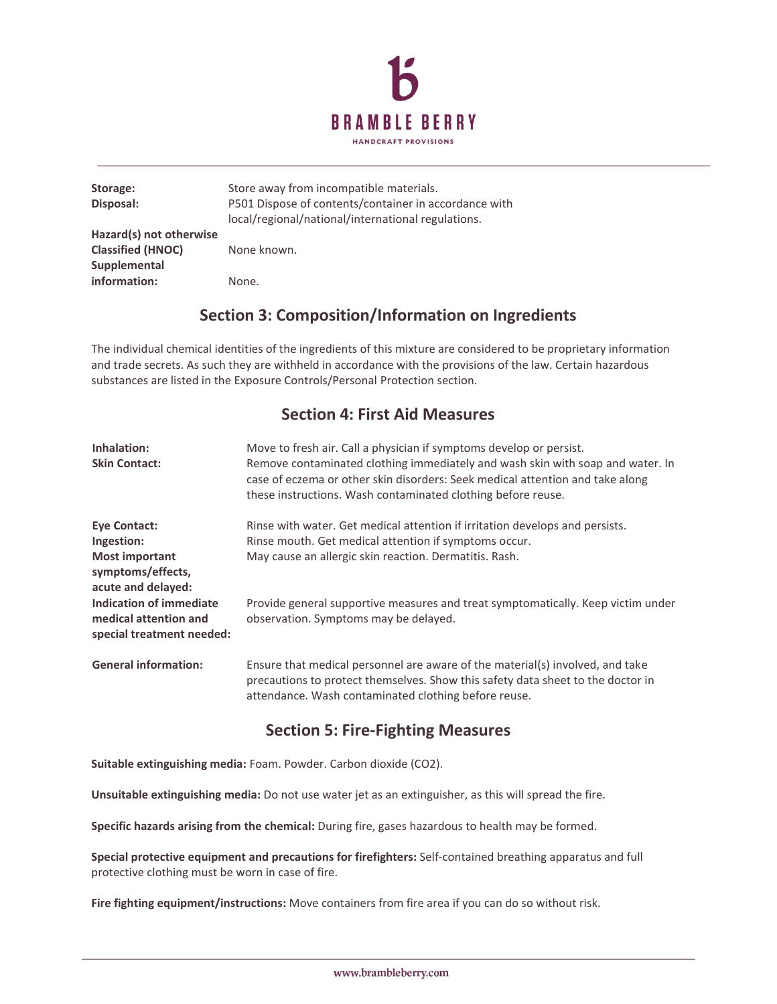

| Storage:<br>Disposal:                                               | Store away from incompatible materials.<br>P501 Dispose of contents/container in accordance with<br>local/regional/national/international regulations. |
|---------------------------------------------------------------------|--------------------------------------------------------------------------------------------------------------------------------------------------------|
| Hazard(s) not otherwise<br><b>Classified (HNOC)</b><br>Supplemental | None known.                                                                                                                                            |
| information:                                                        | None.                                                                                                                                                  |

### **Section 3: Composition/Information on Ingredients**

The individual chemical identities of the ingredients of this mixture are considered to be proprietary information and trade secrets. As such they are withheld in accordance with the provisions of the law. Certain hazardous substances are listed in the Exposure Controls/Personal Protection section.

### **Section 4: First Aid Measures**

| Inhalation:<br><b>Skin Contact:</b>                                           | Move to fresh air. Call a physician if symptoms develop or persist.<br>Remove contaminated clothing immediately and wash skin with soap and water. In<br>case of eczema or other skin disorders: Seek medical attention and take along<br>these instructions. Wash contaminated clothing before reuse. |
|-------------------------------------------------------------------------------|--------------------------------------------------------------------------------------------------------------------------------------------------------------------------------------------------------------------------------------------------------------------------------------------------------|
| <b>Eye Contact:</b>                                                           | Rinse with water. Get medical attention if irritation develops and persists.                                                                                                                                                                                                                           |
| Ingestion:                                                                    | Rinse mouth. Get medical attention if symptoms occur.                                                                                                                                                                                                                                                  |
| <b>Most important</b><br>symptoms/effects,<br>acute and delayed:              | May cause an allergic skin reaction. Dermatitis. Rash.                                                                                                                                                                                                                                                 |
| Indication of immediate<br>medical attention and<br>special treatment needed: | Provide general supportive measures and treat symptomatically. Keep victim under<br>observation. Symptoms may be delayed.                                                                                                                                                                              |
| <b>General information:</b>                                                   | Ensure that medical personnel are aware of the material(s) involved, and take<br>precautions to protect themselves. Show this safety data sheet to the doctor in<br>attendance. Wash contaminated clothing before reuse.                                                                               |

### **Section 5: Fire-Fighting Measures**

**Suitable extinguishing media:** Foam. Powder. Carbon dioxide (CO2).

**Unsuitable extinguishing media:** Do not use water jet as an extinguisher, as this will spread the fire.

**Specific hazards arising from the chemical:** During fire, gases hazardous to health may be formed.

**Special protective equipment and precautions for firefighters:** Self-contained breathing apparatus and full protective clothing must be worn in case of fire.

**Fire fighting equipment/instructions:** Move containers from fire area if you can do so without risk.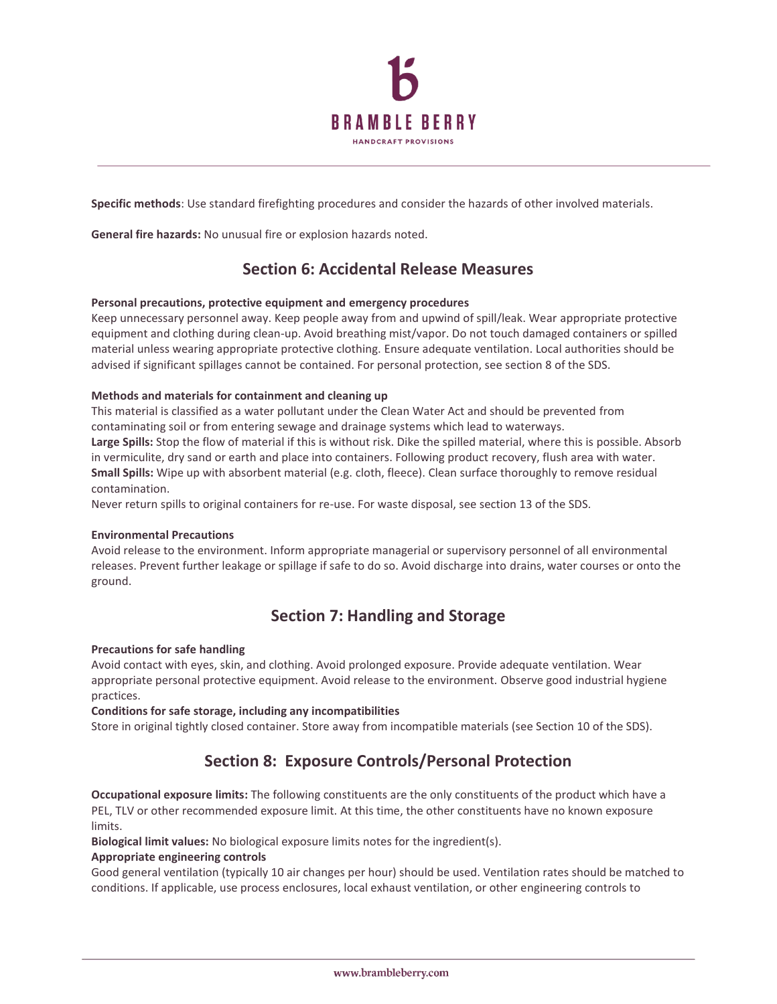

**Specific methods**: Use standard firefighting procedures and consider the hazards of other involved materials.

**General fire hazards:** No unusual fire or explosion hazards noted.

### **Section 6: Accidental Release Measures**

#### **Personal precautions, protective equipment and emergency procedures**

Keep unnecessary personnel away. Keep people away from and upwind of spill/leak. Wear appropriate protective equipment and clothing during clean-up. Avoid breathing mist/vapor. Do not touch damaged containers or spilled material unless wearing appropriate protective clothing. Ensure adequate ventilation. Local authorities should be advised if significant spillages cannot be contained. For personal protection, see section 8 of the SDS.

#### **Methods and materials for containment and cleaning up**

This material is classified as a water pollutant under the Clean Water Act and should be prevented from contaminating soil or from entering sewage and drainage systems which lead to waterways.

**Large Spills:** Stop the flow of material if this is without risk. Dike the spilled material, where this is possible. Absorb in vermiculite, dry sand or earth and place into containers. Following product recovery, flush area with water. **Small Spills:** Wipe up with absorbent material (e.g. cloth, fleece). Clean surface thoroughly to remove residual contamination.

Never return spills to original containers for re-use. For waste disposal, see section 13 of the SDS.

#### **Environmental Precautions**

Avoid release to the environment. Inform appropriate managerial or supervisory personnel of all environmental releases. Prevent further leakage or spillage if safe to do so. Avoid discharge into drains, water courses or onto the ground.

### **Section 7: Handling and Storage**

#### **Precautions for safe handling**

Avoid contact with eyes, skin, and clothing. Avoid prolonged exposure. Provide adequate ventilation. Wear appropriate personal protective equipment. Avoid release to the environment. Observe good industrial hygiene practices.

#### **Conditions for safe storage, including any incompatibilities**

Store in original tightly closed container. Store away from incompatible materials (see Section 10 of the SDS).

### **Section 8: Exposure Controls/Personal Protection**

**Occupational exposure limits:** The following constituents are the only constituents of the product which have a PEL, TLV or other recommended exposure limit. At this time, the other constituents have no known exposure limits.

**Biological limit values:** No biological exposure limits notes for the ingredient(s).

#### **Appropriate engineering controls**

Good general ventilation (typically 10 air changes per hour) should be used. Ventilation rates should be matched to conditions. If applicable, use process enclosures, local exhaust ventilation, or other engineering controls to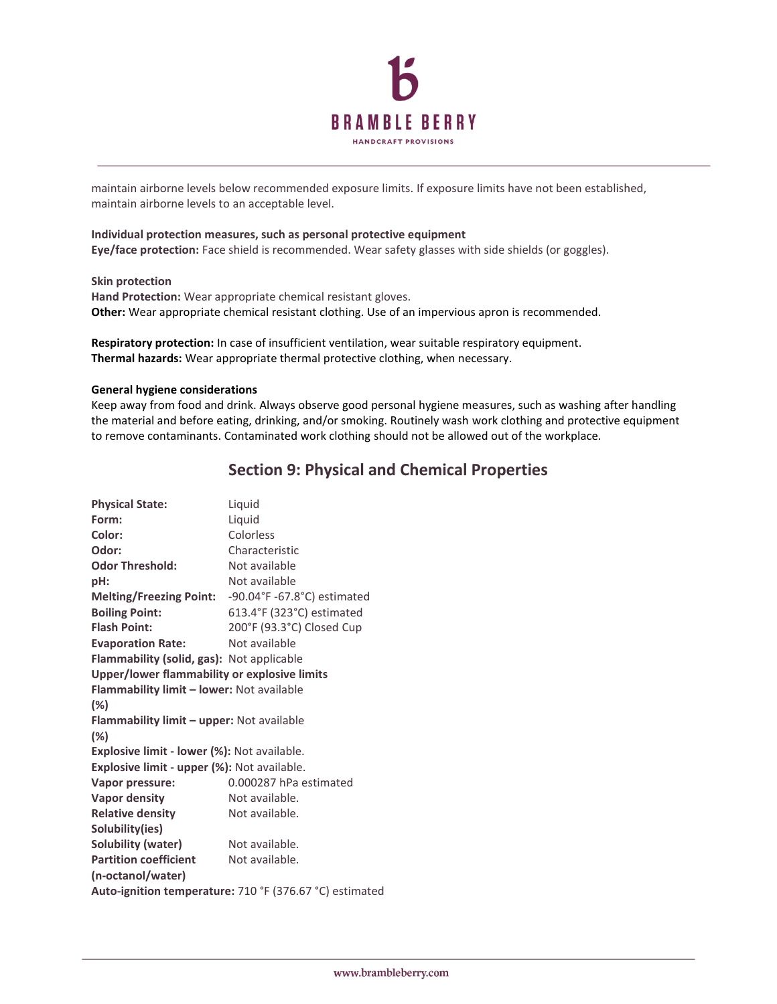

maintain airborne levels below recommended exposure limits. If exposure limits have not been established, maintain airborne levels to an acceptable level.

#### **Individual protection measures, such as personal protective equipment**

**Eye/face protection:** Face shield is recommended. Wear safety glasses with side shields (or goggles).

#### **Skin protection**

**Hand Protection:** Wear appropriate chemical resistant gloves. **Other:** Wear appropriate chemical resistant clothing. Use of an impervious apron is recommended.

**Respiratory protection:** In case of insufficient ventilation, wear suitable respiratory equipment. **Thermal hazards:** Wear appropriate thermal protective clothing, when necessary.

#### **General hygiene considerations**

Keep away from food and drink. Always observe good personal hygiene measures, such as washing after handling the material and before eating, drinking, and/or smoking. Routinely wash work clothing and protective equipment to remove contaminants. Contaminated work clothing should not be allowed out of the workplace.

### **Section 9: Physical and Chemical Properties**

| <b>Physical State:</b>                                  | Liquid                      |  |  |
|---------------------------------------------------------|-----------------------------|--|--|
| Form:                                                   | Liquid                      |  |  |
| Color:                                                  | Colorless                   |  |  |
| Odor:                                                   | Characteristic              |  |  |
| <b>Odor Threshold:</b>                                  | Not available               |  |  |
| pH:                                                     | Not available               |  |  |
| <b>Melting/Freezing Point:</b>                          | -90.04°F -67.8°C) estimated |  |  |
| <b>Boiling Point:</b>                                   | 613.4°F (323°C) estimated   |  |  |
| <b>Flash Point:</b>                                     | 200°F (93.3°C) Closed Cup   |  |  |
| <b>Evaporation Rate:</b>                                | Not available               |  |  |
| Flammability (solid, gas): Not applicable               |                             |  |  |
| Upper/lower flammability or explosive limits            |                             |  |  |
| Flammability limit - lower: Not available               |                             |  |  |
| (%)                                                     |                             |  |  |
| <b>Flammability limit - upper: Not available</b>        |                             |  |  |
| $(\%)$                                                  |                             |  |  |
| Explosive limit - lower (%): Not available.             |                             |  |  |
| Explosive limit - upper (%): Not available.             |                             |  |  |
| Vapor pressure:                                         | 0.000287 hPa estimated      |  |  |
| <b>Vapor density</b>                                    | Not available.              |  |  |
| <b>Relative density</b>                                 | Not available.              |  |  |
| Solubility(ies)                                         |                             |  |  |
| Solubility (water)                                      | Not available.              |  |  |
| <b>Partition coefficient</b>                            | Not available.              |  |  |
| (n-octanol/water)                                       |                             |  |  |
| Auto-ignition temperature: 710 °F (376.67 °C) estimated |                             |  |  |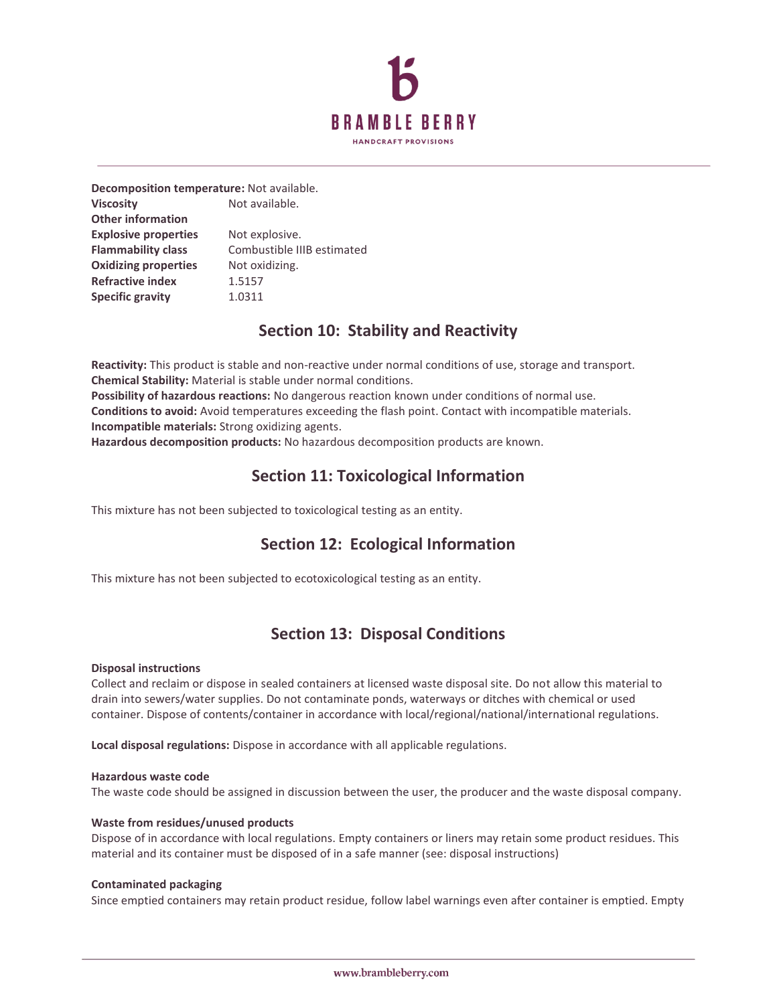

**Decomposition temperature:** Not available. **Viscosity** Not available. **Other information Explosive properties** Not explosive. **Flammability class** Combustible IIIB estimated **Oxidizing properties** Not oxidizing. **Refractive index** 1.5157 **Specific gravity** 1.0311

### **Section 10: Stability and Reactivity**

**Reactivity:** This product is stable and non-reactive under normal conditions of use, storage and transport. **Chemical Stability:** Material is stable under normal conditions.

**Possibility of hazardous reactions:** No dangerous reaction known under conditions of normal use. **Conditions to avoid:** Avoid temperatures exceeding the flash point. Contact with incompatible materials. **Incompatible materials:** Strong oxidizing agents.

**Hazardous decomposition products:** No hazardous decomposition products are known.

### **Section 11: Toxicological Information**

This mixture has not been subjected to toxicological testing as an entity.

### **Section 12: Ecological Information**

This mixture has not been subjected to ecotoxicological testing as an entity.

### **Section 13: Disposal Conditions**

#### **Disposal instructions**

Collect and reclaim or dispose in sealed containers at licensed waste disposal site. Do not allow this material to drain into sewers/water supplies. Do not contaminate ponds, waterways or ditches with chemical or used container. Dispose of contents/container in accordance with local/regional/national/international regulations.

**Local disposal regulations:** Dispose in accordance with all applicable regulations.

#### **Hazardous waste code**

The waste code should be assigned in discussion between the user, the producer and the waste disposal company.

#### **Waste from residues/unused products**

Dispose of in accordance with local regulations. Empty containers or liners may retain some product residues. This material and its container must be disposed of in a safe manner (see: disposal instructions)

#### **Contaminated packaging**

Since emptied containers may retain product residue, follow label warnings even after container is emptied. Empty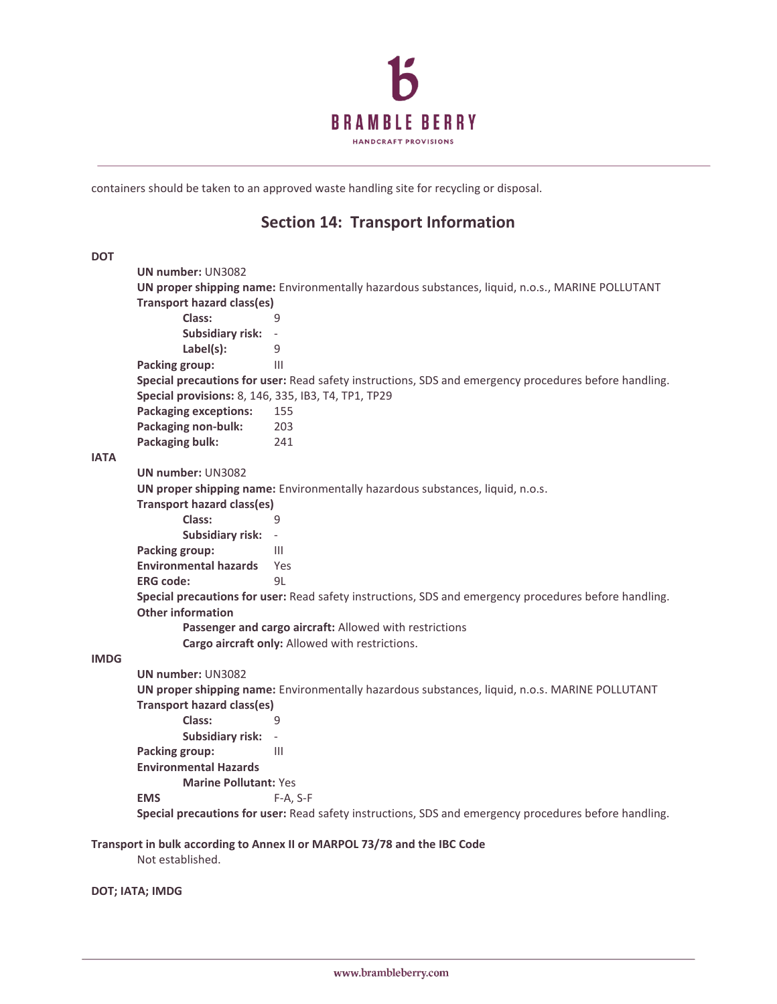

containers should be taken to an approved waste handling site for recycling or disposal.

### **Section 14: Transport Information**

**DOT UN number:** UN3082 **UN proper shipping name:** Environmentally hazardous substances, liquid, n.o.s., MARINE POLLUTANT **Transport hazard class(es) Class:** 9 **Subsidiary risk:** - **Label(s):** 9 **Packing group:** III **Special precautions for user:** Read safety instructions, SDS and emergency procedures before handling. **Special provisions:** 8, 146, 335, IB3, T4, TP1, TP29 **Packaging exceptions:** 155 **Packaging non-bulk:** 203 **Packaging bulk:** 241 **IATA UN number:** UN3082 **UN proper shipping name:** Environmentally hazardous substances, liquid, n.o.s. **Transport hazard class(es) Class:** 9 **Subsidiary risk:** - **Packing group:** III **Environmental hazards** Yes **ERG code:** 9L **Special precautions for user:** Read safety instructions, SDS and emergency procedures before handling. **Other information Passenger and cargo aircraft:** Allowed with restrictions **Cargo aircraft only:** Allowed with restrictions. **IMDG UN number:** UN3082 **UN proper shipping name:** Environmentally hazardous substances, liquid, n.o.s. MARINE POLLUTANT **Transport hazard class(es) Class:** 9 **Subsidiary risk:** - **Packing group:** III **Environmental Hazards Marine Pollutant:** Yes **EMS** F-A, S-F **Special precautions for user:** Read safety instructions, SDS and emergency procedures before handling.

**Transport in bulk according to Annex II or MARPOL 73/78 and the IBC Code**

Not established.

**DOT; IATA; IMDG**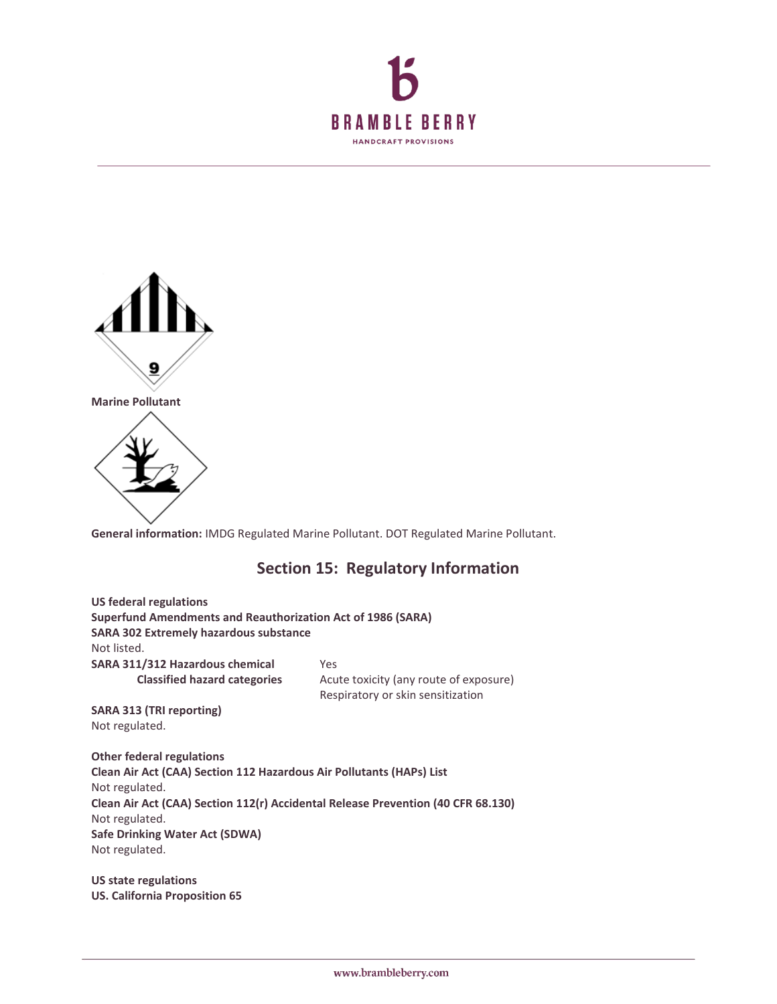



**General information:** IMDG Regulated Marine Pollutant. DOT Regulated Marine Pollutant.

### **Section 15: Regulatory Information**

**US federal regulations Superfund Amendments and Reauthorization Act of 1986 (SARA) SARA 302 Extremely hazardous substance** Not listed. **SARA 311/312 Hazardous chemical** Yes **Classified hazard categories** Acute toxicity (any route of exposure) Respiratory or skin sensitization **SARA 313 (TRI reporting)** Not regulated. **Other federal regulations Clean Air Act (CAA) Section 112 Hazardous Air Pollutants (HAPs) List** Not regulated. **Clean Air Act (CAA) Section 112(r) Accidental Release Prevention (40 CFR 68.130)** Not regulated.

**Safe Drinking Water Act (SDWA)** Not regulated.

**US state regulations US. California Proposition 65**